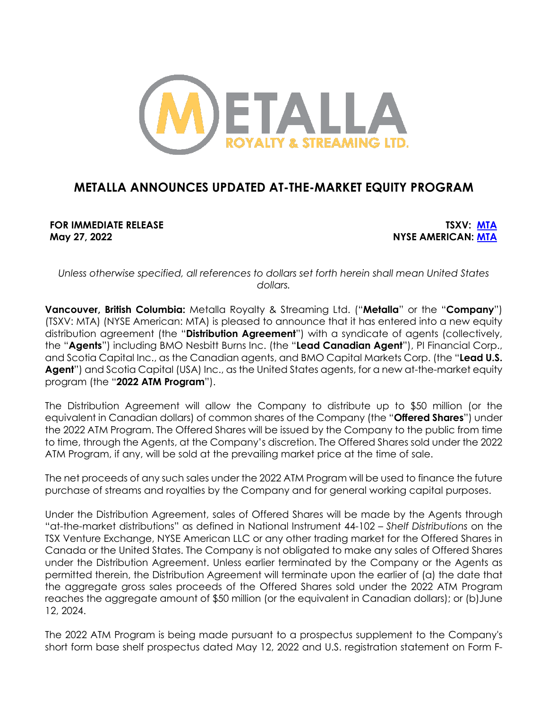

# **METALLA ANNOUNCES UPDATED AT-THE-MARKET EQUITY PROGRAM**

**FOR IMMEDIATE RELEASE TSXV: MTA May 27, 2022 NYSE AMERICAN: MTA**

*Unless otherwise specified, all references to dollars set forth herein shall mean United States dollars.*

**Vancouver, British Columbia:** Metalla Royalty & Streaming Ltd. ("**Metalla**" or the "**Company**") (TSXV: MTA) (NYSE American: MTA) is pleased to announce that it has entered into a new equity distribution agreement (the "**Distribution Agreement**") with a syndicate of agents (collectively, the "**Agents**") including BMO Nesbitt Burns Inc. (the "**Lead Canadian Agent**"), PI Financial Corp., and Scotia Capital Inc., as the Canadian agents, and BMO Capital Markets Corp. (the "**Lead U.S. Agent**") and Scotia Capital (USA) Inc., as the United States agents, for a new at-the-market equity program (the "**2022 ATM Program**").

The Distribution Agreement will allow the Company to distribute up to \$50 million (or the equivalent in Canadian dollars) of common shares of the Company (the "**Offered Shares**") under the 2022 ATM Program. The Offered Shares will be issued by the Company to the public from time to time, through the Agents, at the Company's discretion. The Offered Shares sold under the 2022 ATM Program, if any, will be sold at the prevailing market price at the time of sale.

The net proceeds of any such sales under the 2022 ATM Program will be used to finance the future purchase of streams and royalties by the Company and for general working capital purposes.

Under the Distribution Agreement, sales of Offered Shares will be made by the Agents through "at-the-market distributions" as defined in National Instrument 44-102 – *Shelf Distributions* on the TSX Venture Exchange, NYSE American LLC or any other trading market for the Offered Shares in Canada or the United States. The Company is not obligated to make any sales of Offered Shares under the Distribution Agreement. Unless earlier terminated by the Company or the Agents as permitted therein, the Distribution Agreement will terminate upon the earlier of (a) the date that the aggregate gross sales proceeds of the Offered Shares sold under the 2022 ATM Program reaches the aggregate amount of \$50 million (or the equivalent in Canadian dollars); or (b)June 12, 2024.

The 2022 ATM Program is being made pursuant to a prospectus supplement to the Company's short form base shelf prospectus dated May 12, 2022 and U.S. registration statement on Form F-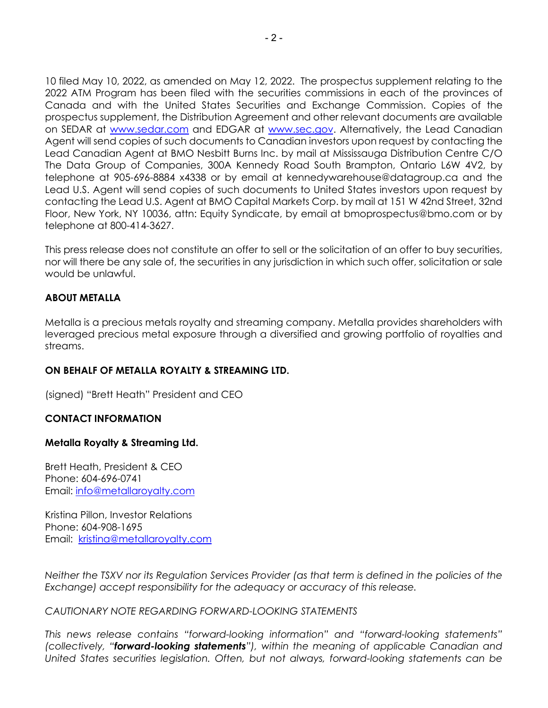10 filed May 10, 2022, as amended on May 12, 2022. The prospectus supplement relating to the 2022 ATM Program has been filed with the securities commissions in each of the provinces of Canada and with the United States Securities and Exchange Commission. Copies of the prospectus supplement, the Distribution Agreement and other relevant documents are available on SEDAR at www.sedar.com and EDGAR at www.sec.gov. Alternatively, the Lead Canadian Agent will send copies of such documents to Canadian investors upon request by contacting the Lead Canadian Agent at BMO Nesbitt Burns Inc. by mail at Mississauga Distribution Centre C/O The Data Group of Companies, 300A Kennedy Road South Brampton, Ontario L6W 4V2, by telephone at 905-696-8884 x4338 or by email at kennedywarehouse@datagroup.ca and the Lead U.S. Agent will send copies of such documents to United States investors upon request by contacting the Lead U.S. Agent at BMO Capital Markets Corp. by mail at 151 W 42nd Street, 32nd Floor, New York, NY 10036, attn: Equity Syndicate, by email at bmoprospectus@bmo.com or by telephone at 800-414-3627.

This press release does not constitute an offer to sell or the solicitation of an offer to buy securities, nor will there be any sale of, the securities in any jurisdiction in which such offer, solicitation or sale would be unlawful.

## **ABOUT METALLA**

Metalla is a precious metals royalty and streaming company. Metalla provides shareholders with leveraged precious metal exposure through a diversified and growing portfolio of royalties and streams.

## **ON BEHALF OF METALLA ROYALTY & STREAMING LTD.**

(signed) "Brett Heath" President and CEO

## **CONTACT INFORMATION**

#### **Metalla Royalty & Streaming Ltd.**

Brett Heath, President & CEO Phone: 604-696-0741 Email: info@metallaroyalty.com

Kristina Pillon, Investor Relations Phone: 604-908-1695 Email: kristina@metallaroyalty.com

*Neither the TSXV nor its Regulation Services Provider (as that term is defined in the policies of the Exchange) accept responsibility for the adequacy or accuracy of this release.* 

#### *CAUTIONARY NOTE REGARDING FORWARD-LOOKING STATEMENTS*

*This news release contains "forward-looking information" and "forward-looking statements" (collectively, "forward-looking statements"), within the meaning of applicable Canadian and United States securities legislation. Often, but not always, forward-looking statements can be*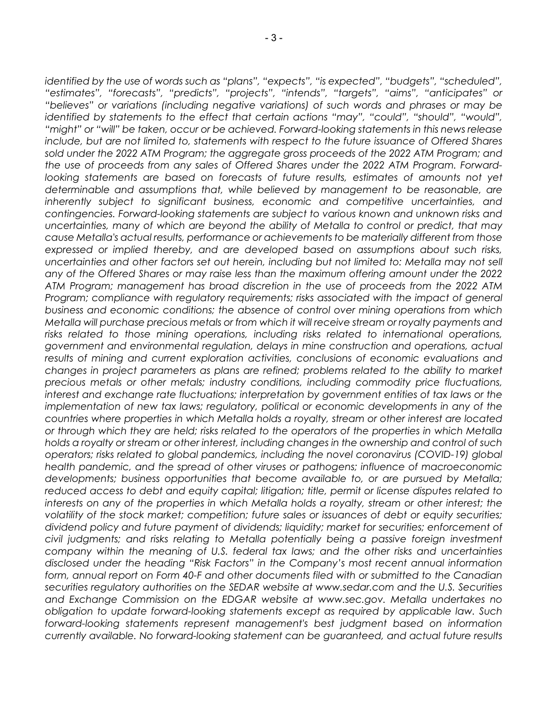*identified by the use of words such as "plans", "expects", "is expected", "budgets", "scheduled", "estimates", "forecasts", "predicts", "projects", "intends", "targets", "aims", "anticipates" or "believes" or variations (including negative variations) of such words and phrases or may be identified by statements to the effect that certain actions "may", "could", "should", "would", "might" or "will" be taken, occur or be achieved. Forward-looking statements in this news release include, but are not limited to, statements with respect to the future issuance of Offered Shares sold under the 2022 ATM Program; the aggregate gross proceeds of the 2022 ATM Program; and the use of proceeds from any sales of Offered Shares under the 2022 ATM Program. Forwardlooking statements are based on forecasts of future results, estimates of amounts not yet determinable and assumptions that, while believed by management to be reasonable, are inherently subject to significant business, economic and competitive uncertainties, and contingencies. Forward-looking statements are subject to various known and unknown risks and uncertainties, many of which are beyond the ability of Metalla to control or predict, that may cause Metalla's actual results, performance or achievements to be materially different from those expressed or implied thereby, and are developed based on assumptions about such risks, uncertainties and other factors set out herein, including but not limited to: Metalla may not sell any of the Offered Shares or may raise less than the maximum offering amount under the 2022 ATM Program; management has broad discretion in the use of proceeds from the 2022 ATM Program; compliance with regulatory requirements; risks associated with the impact of general business and economic conditions; the absence of control over mining operations from which Metalla will purchase precious metals or from which it will receive stream or royalty payments and risks related to those mining operations, including risks related to international operations, government and environmental regulation, delays in mine construction and operations, actual results of mining and current exploration activities, conclusions of economic evaluations and changes in project parameters as plans are refined; problems related to the ability to market precious metals or other metals; industry conditions, including commodity price fluctuations, interest and exchange rate fluctuations; interpretation by government entities of tax laws or the implementation of new tax laws; regulatory, political or economic developments in any of the countries where properties in which Metalla holds a royalty, stream or other interest are located or through which they are held; risks related to the operators of the properties in which Metalla holds a royalty or stream or other interest, including changes in the ownership and control of such operators; risks related to global pandemics, including the novel coronavirus (COVID-19) global health pandemic, and the spread of other viruses or pathogens; influence of macroeconomic*  developments; business opportunities that become available to, or are pursued by Metalla; *reduced access to debt and equity capital; litigation; title, permit or license disputes related to interests on any of the properties in which Metalla holds a royalty, stream or other interest; the volatility of the stock market; competition; future sales or issuances of debt or equity securities; dividend policy and future payment of dividends; liquidity; market for securities; enforcement of civil judgments; and risks relating to Metalla potentially being a passive foreign investment company within the meaning of U.S. federal tax laws; and the other risks and uncertainties disclosed under the heading "Risk Factors" in the Company's most recent annual information form, annual report on Form 40-F and other documents filed with or submitted to the Canadian securities regulatory authorities on the SEDAR website at www.sedar.com and the U.S. Securities and Exchange Commission on the EDGAR website at www.sec.gov. Metalla undertakes no obligation to update forward-looking statements except as required by applicable law. Such forward-looking statements represent management's best judgment based on information currently available. No forward-looking statement can be guaranteed, and actual future results*